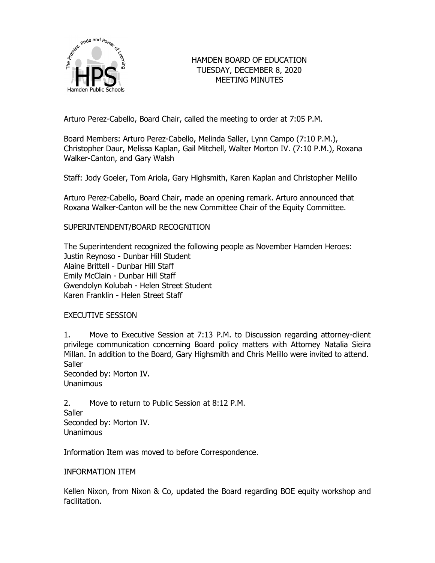

# HAMDEN BOARD OF EDUCATION TUESDAY, DECEMBER 8, 2020 MEETING MINUTES

Arturo Perez-Cabello, Board Chair, called the meeting to order at 7:05 P.M.

Board Members: Arturo Perez-Cabello, Melinda Saller, Lynn Campo (7:10 P.M.), Christopher Daur, Melissa Kaplan, Gail Mitchell, Walter Morton IV. (7:10 P.M.), Roxana Walker-Canton, and Gary Walsh

Staff: Jody Goeler, Tom Ariola, Gary Highsmith, Karen Kaplan and Christopher Melillo

Arturo Perez-Cabello, Board Chair, made an opening remark. Arturo announced that Roxana Walker-Canton will be the new Committee Chair of the Equity Committee.

# SUPERINTENDENT/BOARD RECOGNITION

The Superintendent recognized the following people as November Hamden Heroes: Justin Reynoso - Dunbar Hill Student Alaine Brittell - Dunbar Hill Staff Emily McClain - Dunbar Hill Staff Gwendolyn Kolubah - Helen Street Student Karen Franklin - Helen Street Staff

# EXECUTIVE SESSION

1. Move to Executive Session at 7:13 P.M. to Discussion regarding attorney-client privilege communication concerning Board policy matters with Attorney Natalia Sieira Millan. In addition to the Board, Gary Highsmith and Chris Melillo were invited to attend. **Saller** 

Seconded by: Morton IV. Unanimous

2. Move to return to Public Session at 8:12 P.M. **Saller** Seconded by: Morton IV. Unanimous

Information Item was moved to before Correspondence.

# INFORMATION ITEM

Kellen Nixon, from Nixon & Co, updated the Board regarding BOE equity workshop and facilitation.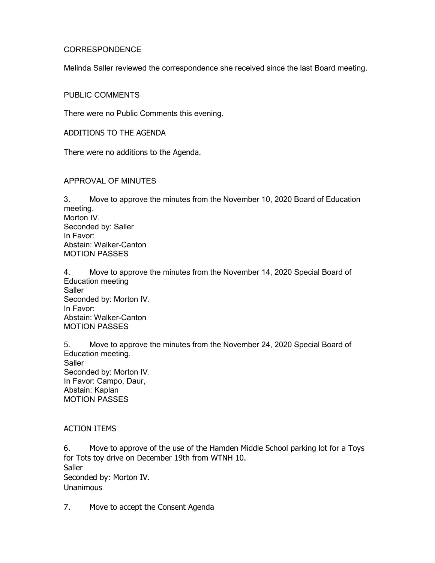### CORRESPONDENCE

Melinda Saller reviewed the correspondence she received since the last Board meeting.

### PUBLIC COMMENTS

There were no Public Comments this evening.

ADDITIONS TO THE AGENDA

There were no additions to the Agenda.

### APPROVAL OF MINUTES

3. Move to approve the minutes from the November 10, 2020 Board of Education meeting. Morton IV. Seconded by: Saller In Favor: Abstain: Walker-Canton MOTION PASSES

4. Move to approve the minutes from the November 14, 2020 Special Board of Education meeting **Saller** Seconded by: Morton IV. In Favor: Abstain: Walker-Canton MOTION PASSES

5. Move to approve the minutes from the November 24, 2020 Special Board of Education meeting. **Saller** Seconded by: Morton IV. In Favor: Campo, Daur, Abstain: Kaplan MOTION PASSES

# ACTION ITEMS

6. Move to approve of the use of the Hamden Middle School parking lot for a Toys for Tots toy drive on December 19th from WTNH 10. **Saller** Seconded by: Morton IV. Unanimous

7. Move to accept the Consent Agenda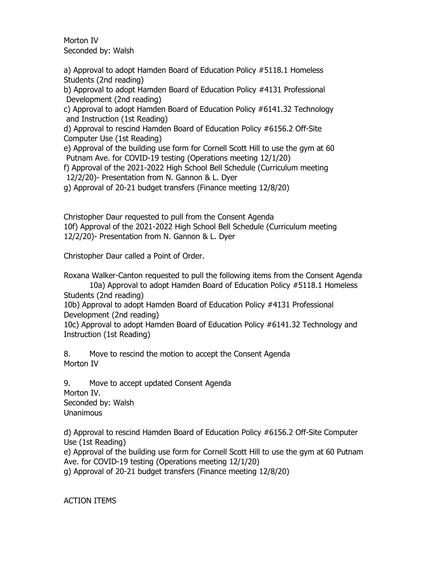Morton IV Seconded by: Walsh

a) Approval to adopt Hamden Board of Education Policy #5118.1 Homeless Students (2nd reading)

b) Approval to adopt Hamden Board of Education Policy #4131 Professional Development (2nd reading)

c) Approval to adopt Hamden Board of Education Policy #6141.32 Technology and Instruction (1st Reading)

d) Approval to rescind Hamden Board of Education Policy #6156.2 Off-Site Computer Use (1st Reading)

e) Approval of the building use form for Cornell Scott Hill to use the gym at 60 Putnam Ave. for COVID-19 testing (Operations meeting 12/1/20)

f) Approval of the 2021-2022 High School Bell Schedule (Curriculum meeting 12/2/20)- Presentation from N. Gannon & L. Dyer

g) Approval of 20-21 budget transfers (Finance meeting 12/8/20)

Christopher Daur requested to pull from the Consent Agenda 10f) Approval of the 2021-2022 High School Bell Schedule (Curriculum meeting 12/2/20)- Presentation from N. Gannon & L. Dyer

Christopher Daur called a Point of Order.

Roxana Walker-Canton requested to pull the following items from the Consent Agenda

10a) Approval to adopt Hamden Board of Education Policy #5118.1 Homeless Students (2nd reading)

10b) Approval to adopt Hamden Board of Education Policy #4131 Professional Development (2nd reading)

10c) Approval to adopt Hamden Board of Education Policy #6141.32 Technology and Instruction (1st Reading)

8. Move to rescind the motion to accept the Consent Agenda Morton IV

9. Move to accept updated Consent Agenda Morton IV. Seconded by: Walsh Unanimous

d) Approval to rescind Hamden Board of Education Policy #6156.2 Off-Site Computer Use (1st Reading)

e) Approval of the building use form for Cornell Scott Hill to use the gym at 60 Putnam Ave. for COVID-19 testing (Operations meeting 12/1/20)

g) Approval of 20-21 budget transfers (Finance meeting 12/8/20)

ACTION ITEMS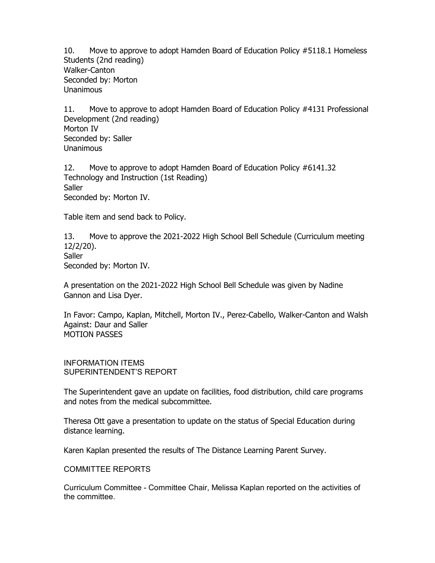10. Move to approve to adopt Hamden Board of Education Policy #5118.1 Homeless Students (2nd reading) Walker-Canton Seconded by: Morton Unanimous

11. Move to approve to adopt Hamden Board of Education Policy #4131 Professional Development (2nd reading) Morton IV Seconded by: Saller Unanimous

12. Move to approve to adopt Hamden Board of Education Policy #6141.32 Technology and Instruction (1st Reading) **Saller** Seconded by: Morton IV.

Table item and send back to Policy.

13. Move to approve the 2021-2022 High School Bell Schedule (Curriculum meeting 12/2/20). **Saller** Seconded by: Morton IV.

A presentation on the 2021-2022 High School Bell Schedule was given by Nadine Gannon and Lisa Dyer.

In Favor: Campo, Kaplan, Mitchell, Morton IV., Perez-Cabello, Walker-Canton and Walsh Against: Daur and Saller MOTION PASSES

INFORMATION ITEMS SUPERINTENDENT'S REPORT

The Superintendent gave an update on facilities, food distribution, child care programs and notes from the medical subcommittee.

Theresa Ott gave a presentation to update on the status of Special Education during distance learning.

Karen Kaplan presented the results of The Distance Learning Parent Survey.

COMMITTEE REPORTS

Curriculum Committee - Committee Chair, Melissa Kaplan reported on the activities of the committee.